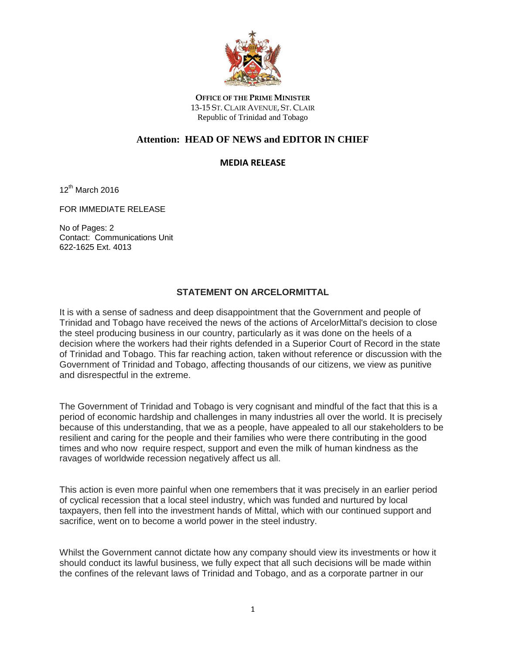

**OFFICE OF THE PRIME MINISTER** 13-15 ST. CLAIR AVENUE, ST. CLAIR Republic of Trinidad and Tobago

## **Attention: HEAD OF NEWS and EDITOR IN CHIEF**

## **MEDIA RELEASE**

12<sup>th</sup> March 2016

FOR IMMEDIATE RELEASE

No of Pages: 2 Contact: Communications Unit 622-1625 Ext. 4013

## **STATEMENT ON ARCELORMITTAL**

It is with a sense of sadness and deep disappointment that the Government and people of Trinidad and Tobago have received the news of the actions of ArcelorMittal's decision to close the steel producing business in our country, particularly as it was done on the heels of a decision where the workers had their rights defended in a Superior Court of Record in the state of Trinidad and Tobago. This far reaching action, taken without reference or discussion with the Government of Trinidad and Tobago, affecting thousands of our citizens, we view as punitive and disrespectful in the extreme.

The Government of Trinidad and Tobago is very cognisant and mindful of the fact that this is a period of economic hardship and challenges in many industries all over the world. It is precisely because of this understanding, that we as a people, have appealed to all our stakeholders to be resilient and caring for the people and their families who were there contributing in the good times and who now require respect, support and even the milk of human kindness as the ravages of worldwide recession negatively affect us all.

This action is even more painful when one remembers that it was precisely in an earlier period of cyclical recession that a local steel industry, which was funded and nurtured by local taxpayers, then fell into the investment hands of Mittal, which with our continued support and sacrifice, went on to become a world power in the steel industry.

Whilst the Government cannot dictate how any company should view its investments or how it should conduct its lawful business, we fully expect that all such decisions will be made within the confines of the relevant laws of Trinidad and Tobago, and as a corporate partner in our